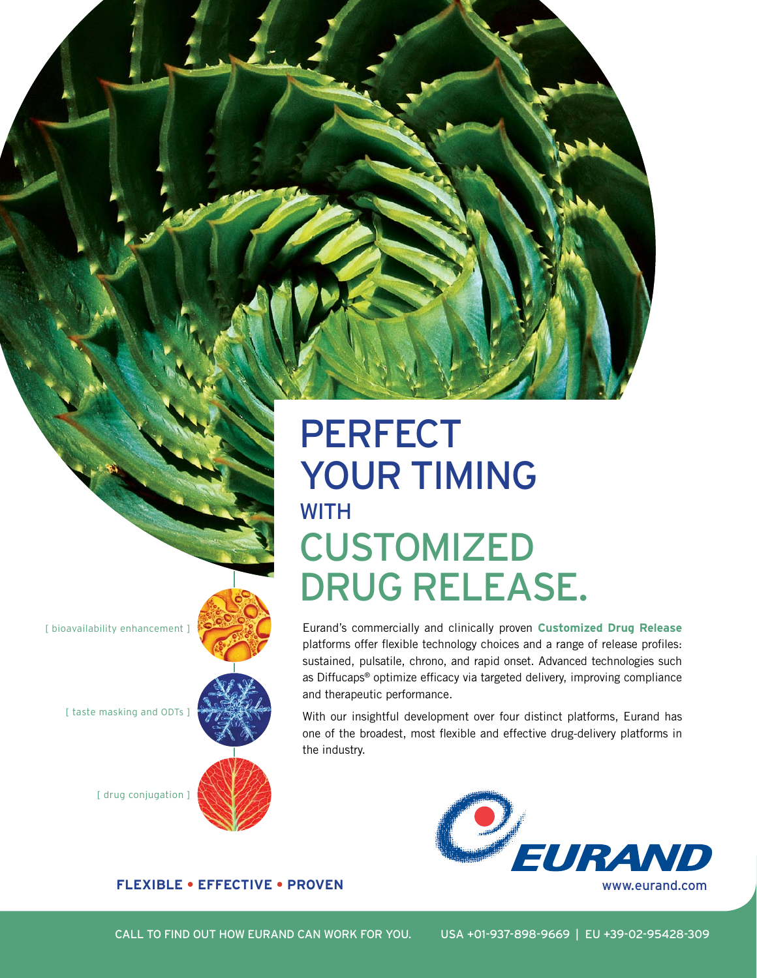## PERFECT YOUR TIMING **WITH CUSTOMIZED** DRUG RELEASE.

Eurand's commercially and clinically proven **Customized Drug Release**  platforms offer flexible technology choices and a range of release profiles: sustained, pulsatile, chrono, and rapid onset. Advanced technologies such as Diffucaps® optimize efficacy via targeted delivery, improving compliance and therapeutic performance.

With our insightful development over four distinct platforms, Eurand has one of the broadest, most flexible and effective drug-delivery platforms in the industry.





Call to find out how eurand can work for you. USA +01-937-898-9669 | EU +39-02-95428-309

[ bioavailability enhancement ]

[ taste masking and ODTs ]



[ drug conjugation ]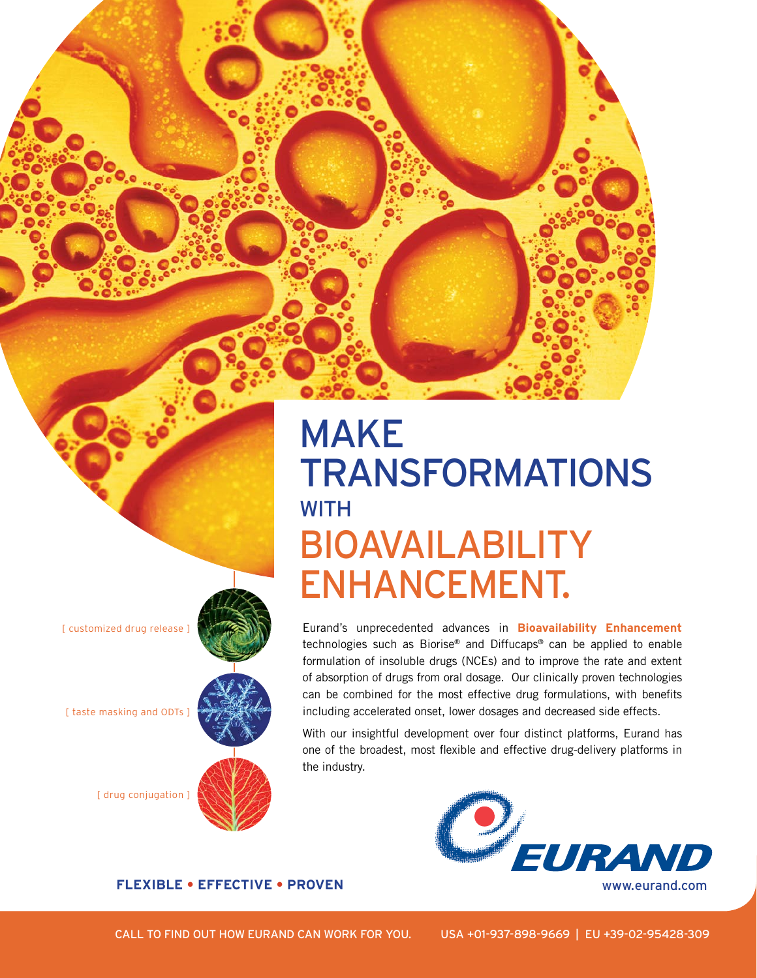## MAKE **TRANSFORMATIONS WITH** BIOAVAILABILITY ENHANCEMENT.

Eurand's unprecedented advances in **Bioavailability Enhancement**  technologies such as Biorise® and Diffucaps® can be applied to enable formulation of insoluble drugs (NCEs) and to improve the rate and extent of absorption of drugs from oral dosage. Our clinically proven technologies can be combined for the most effective drug formulations, with benefits including accelerated onset, lower dosages and decreased side effects.

With our insightful development over four distinct platforms, Eurand has one of the broadest, most flexible and effective drug-delivery platforms in the industry.



[ customized drug release ]

[ taste masking and ODTs ]

[ drug conjugation ]

Call to find out how eurand can work for you. USA +01-937-898-9669 | EU +39-02-95428-309